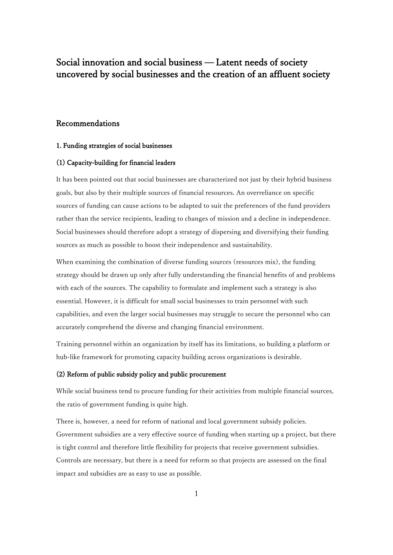# Social innovation and social business — Latent needs of society uncovered by social businesses and the creation of an affluent society

## Recommendations

#### 1. Funding strategies of social businesses

#### (1) Capacity-building for financial leaders

It has been pointed out that social businesses are characterized not just by their hybrid business goals, but also by their multiple sources of financial resources. An overreliance on specific sources of funding can cause actions to be adapted to suit the preferences of the fund providers rather than the service recipients, leading to changes of mission and a decline in independence. Social businesses should therefore adopt a strategy of dispersing and diversifying their funding sources as much as possible to boost their independence and sustainability.

When examining the combination of diverse funding sources (resources mix), the funding strategy should be drawn up only after fully understanding the financial benefits of and problems with each of the sources. The capability to formulate and implement such a strategy is also essential. However, it is difficult for small social businesses to train personnel with such capabilities, and even the larger social businesses may struggle to secure the personnel who can accurately comprehend the diverse and changing financial environment.

Training personnel within an organization by itself has its limitations, so building a platform or hub-like framework for promoting capacity building across organizations is desirable.

#### (2) Reform of public subsidy policy and public procurement

While social business tend to procure funding for their activities from multiple financial sources, the ratio of government funding is quite high.

There is, however, a need for reform of national and local government subsidy policies. Government subsidies are a very effective source of funding when starting up a project, but there is tight control and therefore little flexibility for projects that receive government subsidies. Controls are necessary, but there is a need for reform so that projects are assessed on the final impact and subsidies are as easy to use as possible.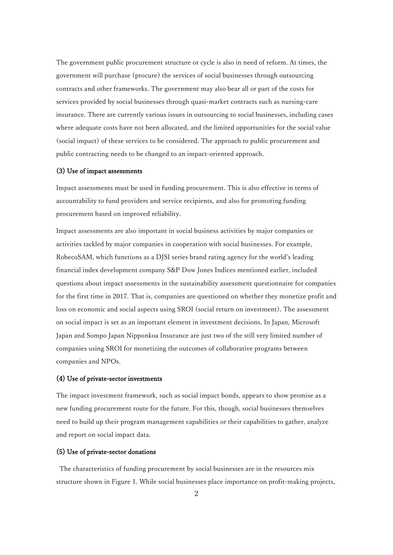The government public procurement structure or cycle is also in need of reform. At times, the government will purchase (procure) the services of social businesses through outsourcing contracts and other frameworks. The government may also bear all or part of the costs for services provided by social businesses through quasi-market contracts such as nursing-care insurance. There are currently various issues in outsourcing to social businesses, including cases where adequate costs have not been allocated, and the limited opportunities for the social value (social impact) of these services to be considered. The approach to public procurement and public contracting needs to be changed to an impact-oriented approach.

#### (3) Use of impact assessments

Impact assessments must be used in funding procurement. This is also effective in terms of accountability to fund providers and service recipients, and also for promoting funding procurement based on improved reliability.

Impact assessments are also important in social business activities by major companies or activities tackled by major companies in cooperation with social businesses. For example, RobecoSAM, which functions as a DJSI series brand rating agency for the world's leading financial index development company S&P Dow Jones Indices mentioned earlier, included questions about impact assessments in the sustainability assessment questionnaire for companies for the first time in 2017. That is, companies are questioned on whether they monetize profit and loss on economic and social aspects using SROI (social return on investment). The assessment on social impact is set as an important element in investment decisions. In Japan, Microsoft Japan and Sompo Japan Nipponkoa Insurance are just two of the still very limited number of companies using SROI for monetizing the outcomes of collaborative programs between companies and NPOs.

#### (4) Use of private-sector investments

The impact investment framework, such as social impact bonds, appears to show promise as a new funding procurement route for the future. For this, though, social businesses themselves need to build up their program management capabilities or their capabilities to gather, analyze and report on social impact data.

### (5) Use of private-sector donations

The characteristics of funding procurement by social businesses are in the resources mix structure shown in Figure 1. While social businesses place importance on profit-making projects,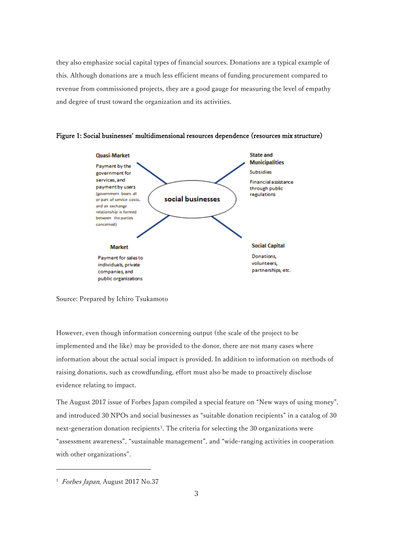they also emphasize social capital types of financial sources. Donations are a typical example of this. Although donations are a much less efficient means of funding procurement compared to revenue from commissioned projects, they are a good gauge for measuring the level of empathy and degree of trust toward the organization and its activities.



Figure 1: Social businesses' multidimensional resources dependence (resources mix structure)

Source: Prepared by Ichiro Tsukamoto

However, even though information concerning output (the scale of the project to be implemented and the like) may be provided to the donor, there are not many cases where information about the actual social impact is provided. In addition to information on methods of raising donations, such as crowdfunding, effort must also be made to proactively disclose evidence relating to impact.

The August 2017 issue of Forbes Japan compiled a special feature on "New ways of using money", and introduced 30 NPOs and social businesses as "suitable donation recipients" in a catalog of 30 next-generation donation recipients<sup>[1](#page-2-0)</sup>. The criteria for selecting the 30 organizations were "assessment awareness", "sustainable management", and "wide-ranging activities in cooperation with other organizations".

f

<span id="page-2-0"></span><sup>&</sup>lt;sup>1</sup> Forbes Japan, August 2017 No.37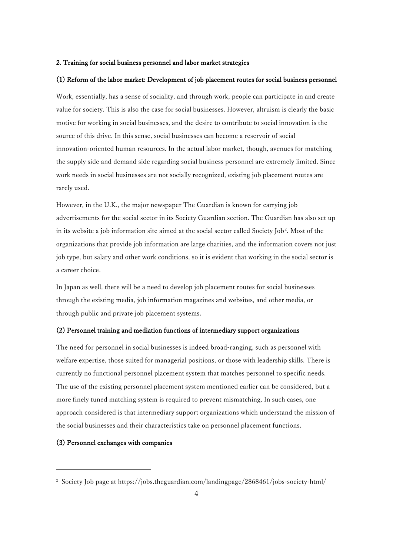#### 2. Training for social business personnel and labor market strategies

#### (1) Reform of the labor market: Development of job placement routes for social business personnel

Work, essentially, has a sense of sociality, and through work, people can participate in and create value for society. This is also the case for social businesses. However, altruism is clearly the basic motive for working in social businesses, and the desire to contribute to social innovation is the source of this drive. In this sense, social businesses can become a reservoir of social innovation-oriented human resources. In the actual labor market, though, avenues for matching the supply side and demand side regarding social business personnel are extremely limited. Since work needs in social businesses are not socially recognized, existing job placement routes are rarely used.

However, in the U.K., the major newspaper The Guardian is known for carrying job advertisements for the social sector in its Society Guardian section. The Guardian has also set up in its website a job information site aimed at the social sector called Society Job<sup>[2](#page-3-0)</sup>. Most of the organizations that provide job information are large charities, and the information covers not just job type, but salary and other work conditions, so it is evident that working in the social sector is a career choice.

In Japan as well, there will be a need to develop job placement routes for social businesses through the existing media, job information magazines and websites, and other media, or through public and private job placement systems.

#### (2) Personnel training and mediation functions of intermediary support organizations

The need for personnel in social businesses is indeed broad-ranging, such as personnel with welfare expertise, those suited for managerial positions, or those with leadership skills. There is currently no functional personnel placement system that matches personnel to specific needs. The use of the existing personnel placement system mentioned earlier can be considered, but a more finely tuned matching system is required to prevent mismatching. In such cases, one approach considered is that intermediary support organizations which understand the mission of the social businesses and their characteristics take on personnel placement functions.

### (3) Personnel exchanges with companies

f

<span id="page-3-0"></span><sup>&</sup>lt;sup>2</sup> Society Job page at https://jobs.theguardian.com/landingpage/2868461/jobs-society-html/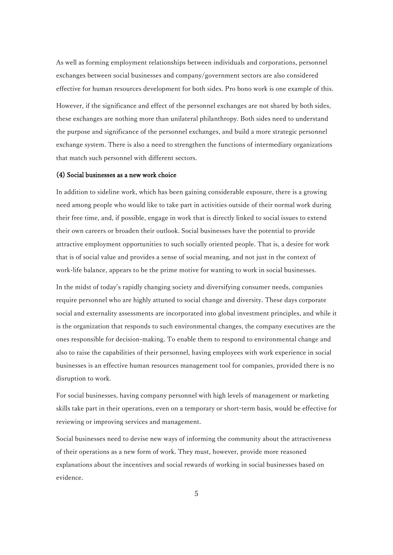As well as forming employment relationships between individuals and corporations, personnel exchanges between social businesses and company/government sectors are also considered effective for human resources development for both sides. Pro bono work is one example of this.

However, if the significance and effect of the personnel exchanges are not shared by both sides, these exchanges are nothing more than unilateral philanthropy. Both sides need to understand the purpose and significance of the personnel exchanges, and build a more strategic personnel exchange system. There is also a need to strengthen the functions of intermediary organizations that match such personnel with different sectors.

#### (4) Social businesses as a new work choice

In addition to sideline work, which has been gaining considerable exposure, there is a growing need among people who would like to take part in activities outside of their normal work during their free time, and, if possible, engage in work that is directly linked to social issues to extend their own careers or broaden their outlook. Social businesses have the potential to provide attractive employment opportunities to such socially oriented people. That is, a desire for work that is of social value and provides a sense of social meaning, and not just in the context of work-life balance, appears to be the prime motive for wanting to work in social businesses.

In the midst of today's rapidly changing society and diversifying consumer needs, companies require personnel who are highly attuned to social change and diversity. These days corporate social and externality assessments are incorporated into global investment principles, and while it is the organization that responds to such environmental changes, the company executives are the ones responsible for decision-making. To enable them to respond to environmental change and also to raise the capabilities of their personnel, having employees with work experience in social businesses is an effective human resources management tool for companies, provided there is no disruption to work.

For social businesses, having company personnel with high levels of management or marketing skills take part in their operations, even on a temporary or short-term basis, would be effective for reviewing or improving services and management.

Social businesses need to devise new ways of informing the community about the attractiveness of their operations as a new form of work. They must, however, provide more reasoned explanations about the incentives and social rewards of working in social businesses based on evidence.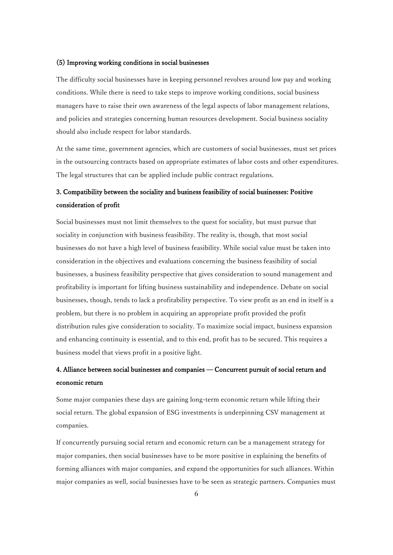#### (5) Improving working conditions in social businesses

The difficulty social businesses have in keeping personnel revolves around low pay and working conditions. While there is need to take steps to improve working conditions, social business managers have to raise their own awareness of the legal aspects of labor management relations, and policies and strategies concerning human resources development. Social business sociality should also include respect for labor standards.

At the same time, government agencies, which are customers of social businesses, must set prices in the outsourcing contracts based on appropriate estimates of labor costs and other expenditures. The legal structures that can be applied include public contract regulations.

## 3. Compatibility between the sociality and business feasibility of social businesses: Positive consideration of profit

Social businesses must not limit themselves to the quest for sociality, but must pursue that sociality in conjunction with business feasibility. The reality is, though, that most social businesses do not have a high level of business feasibility. While social value must be taken into consideration in the objectives and evaluations concerning the business feasibility of social businesses, a business feasibility perspective that gives consideration to sound management and profitability is important for lifting business sustainability and independence. Debate on social businesses, though, tends to lack a profitability perspective. To view profit as an end in itself is a problem, but there is no problem in acquiring an appropriate profit provided the profit distribution rules give consideration to sociality. To maximize social impact, business expansion and enhancing continuity is essential, and to this end, profit has to be secured. This requires a business model that views profit in a positive light.

## 4. Alliance between social businesses and companies — Concurrent pursuit of social return and economic return

Some major companies these days are gaining long-term economic return while lifting their social return. The global expansion of ESG investments is underpinning CSV management at companies.

If concurrently pursuing social return and economic return can be a management strategy for major companies, then social businesses have to be more positive in explaining the benefits of forming alliances with major companies, and expand the opportunities for such alliances. Within major companies as well, social businesses have to be seen as strategic partners. Companies must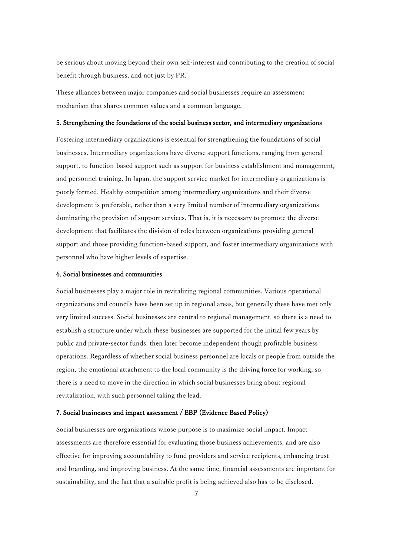be serious about moving beyond their own self-interest and contributing to the creation of social benefit through business, and not just by PR.

These alliances between major companies and social businesses require an assessment mechanism that shares common values and a common language.

#### 5. Strengthening the foundations of the social business sector, and intermediary organizations

Fostering intermediary organizations is essential for strengthening the foundations of social businesses. Intermediary organizations have diverse support functions, ranging from general support, to function-based support such as support for business establishment and management, and personnel training. In Japan, the support service market for intermediary organizations is poorly formed. Healthy competition among intermediary organizations and their diverse development is preferable, rather than a very limited number of intermediary organizations dominating the provision of support services. That is, it is necessary to promote the diverse development that facilitates the division of roles between organizations providing general support and those providing function-based support, and foster intermediary organizations with personnel who have higher levels of expertise.

#### 6. Social businesses and communities

Social businesses play a major role in revitalizing regional communities. Various operational organizations and councils have been set up in regional areas, but generally these have met only very limited success. Social businesses are central to regional management, so there is a need to establish a structure under which these businesses are supported for the initial few years by public and private-sector funds, then later become independent though profitable business operations. Regardless of whether social business personnel are locals or people from outside the region, the emotional attachment to the local community is the driving force for working, so there is a need to move in the direction in which social businesses bring about regional revitalization, with such personnel taking the lead.

#### 7. Social businesses and impact assessment / EBP (Evidence Based Policy)

Social businesses are organizations whose purpose is to maximize social impact. Impact assessments are therefore essential for evaluating those business achievements, and are also effective for improving accountability to fund providers and service recipients, enhancing trust and branding, and improving business. At the same time, financial assessments are important for sustainability, and the fact that a suitable profit is being achieved also has to be disclosed.